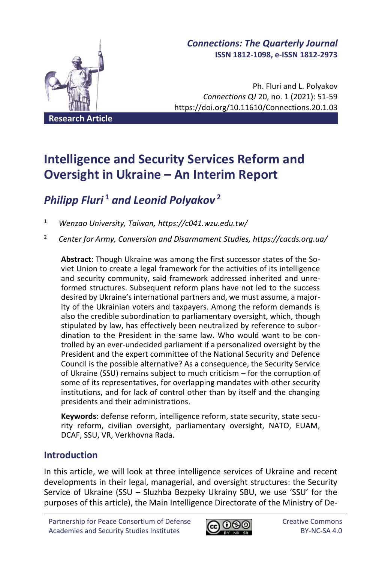

# *Connections: The Quarterly Journal* **ISSN 1812-1098, e-ISSN 1812-2973**

Ph. Fluri and L. Polyakov *Connections QJ* 20, no. 1 (2021): 51-59 https://doi.org/10.11610/Connections.20.1.03

**Intelligence and Security Services Reform and Oversight in Ukraine – An Interim Report**

# *Philipp Fluri* **<sup>1</sup>** *and Leonid Polyakov* **<sup>2</sup>**

<sup>1</sup> *Wenzao University, Taiwan, https://c041.wzu.edu.tw/*

<sup>2</sup> *Center for Army, Conversion and Disarmament Studies, https://cacds.org.ua/*

**Abstract**: Though Ukraine was among the first successor states of the Soviet Union to create a legal framework for the activities of its intelligence and security community, said framework addressed inherited and unreformed structures. Subsequent reform plans have not led to the success desired by Ukraine's international partners and, we must assume, a majority of the Ukrainian voters and taxpayers. Among the reform demands is also the credible subordination to parliamentary oversight, which, though stipulated by law, has effectively been neutralized by reference to subordination to the President in the same law. Who would want to be controlled by an ever-undecided parliament if a personalized oversight by the President and the expert committee of the National Security and Defence Council is the possible alternative? As a consequence, the Security Service of Ukraine (SSU) remains subject to much criticism – for the corruption of some of its representatives, for overlapping mandates with other security institutions, and for lack of control other than by itself and the changing presidents and their administrations.

**Keywords**: defense reform, intelligence reform, state security, state security reform, civilian oversight, parliamentary oversight, NATO, EUAM, DCAF, SSU, VR, Verkhovna Rada.

# **Introduction**

In this article, we will look at three intelligence services of Ukraine and recent developments in their legal, managerial, and oversight structures: the Security Service of Ukraine (SSU – Sluzhba Bezpeky Ukrainy SBU, we use 'SSU' for the purposes of this article), the Main Intelligence Directorate of the Ministry of De-

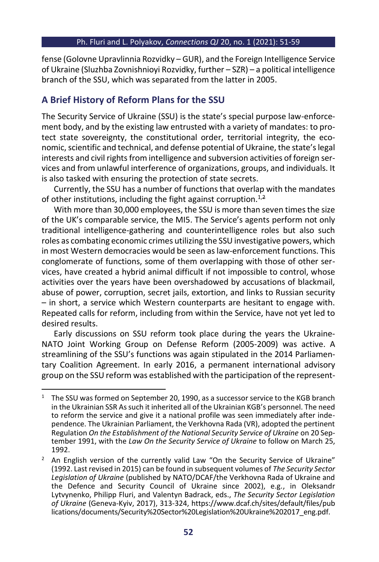#### Ph. Fluri and L. Polyakov, *Connections QJ* 20, no. 1 (2021): 51-59

fense (Golovne Upravlinnia Rozvidky – GUR), and the Foreign Intelligence Service of Ukraine (Sluzhba Zovnishnioyi Rozvidky, further – SZR) – a political intelligence branch of the SSU, which was separated from the latter in 2005.

### **A Brief History of Reform Plans for the SSU**

The Security Service of Ukraine (SSU) is the state's special purpose law-enforcement body, and by the existing law entrusted with a variety of mandates: to protect state sovereignty, the constitutional order, territorial integrity, the economic, scientific and technical, and defense potential of Ukraine, the state's legal interests and civil rights from intelligence and subversion activities of foreign services and from unlawful interference of organizations, groups, and individuals. It is also tasked with ensuring the protection of state secrets.

Currently, the SSU has a number of functions that overlap with the mandates of other institutions, including the fight against corruption.<sup>1,2</sup>

With more than 30,000 employees, the SSU is more than seven times the size of the UK's comparable service, the MI5. The Service's agents perform not only traditional intelligence-gathering and counterintelligence roles but also such roles as combating economic crimes utilizing the SSU investigative powers, which in most Western democracies would be seen as law-enforcement functions. This conglomerate of functions, some of them overlapping with those of other services, have created a hybrid animal difficult if not impossible to control, whose activities over the years have been overshadowed by accusations of blackmail, abuse of power, corruption, secret jails, extortion, and links to Russian security – in short, a service which Western counterparts are hesitant to engage with. Repeated calls for reform, including from within the Service, have not yet led to desired results.

Early discussions on SSU reform took place during the years the Ukraine-NATO Joint Working Group on Defense Reform (2005-2009) was active. A streamlining of the SSU's functions was again stipulated in the 2014 Parliamentary Coalition Agreement. In early 2016, a permanent international advisory group on the SSU reform was established with the participation of the represent-

<sup>&</sup>lt;sup>1</sup> The SSU was formed on September 20, 1990, as a successor service to the KGB branch in the Ukrainian SSR Assuch it inherited all of the Ukrainian KGB's personnel. The need to reform the service and give it a national profile was seen immediately after independence. The Ukrainian Parliament, the Verkhovna Rada (VR), adopted the pertinent Regulation *On the Establishment of the National Security Service of Ukraine* on 20 September 1991, with the *Law On the Security Service of Ukraine* to follow on March 25, 1992.

 $2$  An English version of the currently valid Law "On the Security Service of Ukraine" (1992. Last revised in 2015) can be found in subsequent volumes of *The Security Sector Legislation of Ukraine* (published by NATO/DCAF/the Verkhovna Rada of Ukraine and the Defence and Security Council of Ukraine since 2002), e.g., in Oleksandr Lytvynenko, Philipp Fluri, and Valentyn Badrack, eds., *The Security Sector Legislation of Ukraine* (Geneva-Kyiv, 2017), 313-324[, https://www.dcaf.ch/sites/default/files/pub](https://www.dcaf.ch/sites/default/files/publications/documents/Security%20Sector%20Legislation%20Ukraine%202017_eng.pdf) [lications/documents/Security%20Sector%20Legislation%20Ukraine%202017\\_eng.pdf.](https://www.dcaf.ch/sites/default/files/publications/documents/Security%20Sector%20Legislation%20Ukraine%202017_eng.pdf)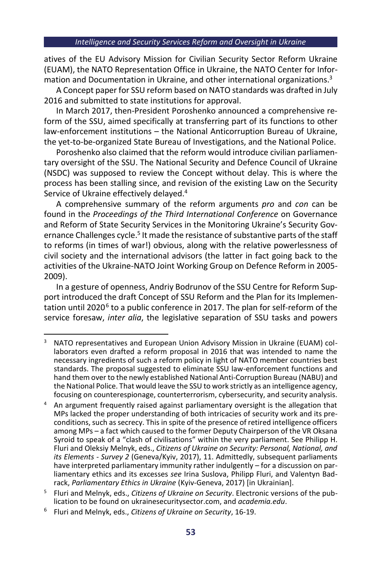atives of the EU Advisory Mission for Civilian Security Sector Reform Ukraine (EUAM), the NATO Representation Office in Ukraine, the NATO Center for Information and Documentation in Ukraine, and other international organizations. 3

A Concept paper for SSU reform based on NATO standards was drafted in July 2016 and submitted to state institutions for approval.

In March 2017, then-President Poroshenko announced a comprehensive reform of the SSU, aimed specifically at transferring part of its functions to other law-enforcement institutions – the National Anticorruption Bureau of Ukraine, the yet-to-be-organized State Bureau of Investigations, and the National Police.

Poroshenko also claimed that the reform would introduce civilian parliamentary oversight of the SSU. The National Security and Defence Council of Ukraine (NSDC) was supposed to review the Concept without delay. This is where the process has been stalling since, and revision of the existing Law on the Security Service of Ukraine effectively delayed.<sup>4</sup>

A comprehensive summary of the reform arguments *pro* and *con* can be found in the *Proceedings of the Third International Conference* on Governance and Reform of State Security Services in the Monitoring Ukraine's Security Governance Challenges cycle.<sup>5</sup> It made the resistance of substantive parts of the staff to reforms (in times of war!) obvious, along with the relative powerlessness of civil society and the international advisors (the latter in fact going back to the activities of the Ukraine-NATO Joint Working Group on Defence Reform in 2005- 2009).

In a gesture of openness, Andriy Bodrunov of the SSU Centre for Reform Support introduced the draft Concept of SSU Reform and the Plan for its Implementation until 2020<sup>6</sup> to a public conference in 2017. The plan for self-reform of the service foresaw, *inter alia*, the legislative separation of SSU tasks and powers

<sup>&</sup>lt;sup>3</sup> NATO representatives and European Union Advisory Mission in Ukraine (EUAM) collaborators even drafted a reform proposal in 2016 that was intended to name the necessary ingredients of such a reform policy in light of NATO member countries best standards. The proposal suggested to eliminate SSU law-enforcement functions and hand them over to the newly established National Anti-Corruption Bureau (NABU) and the National Police. That would leave the SSU to work strictly as an intelligence agency, focusing on counterespionage, counterterrorism, cybersecurity, and security analysis.

<sup>4</sup> An argument frequently raised against parliamentary oversight is the allegation that MPs lacked the proper understanding of both intricacies of security work and its preconditions, such as secrecy. This in spite of the presence of retired intelligence officers among MPs – a fact which caused to the former Deputy Chairperson of the VR Oksana Syroid to speak of a "clash of civilisations" within the very parliament. See Philipp H. Fluri and Oleksiy Melnyk, eds., *Citizens of Ukraine on Security: Personal, National, and its Elements - Survey 2* (Geneva/Kyiv, 2017), 11. Admittedly, subsequent parliaments have interpreted parliamentary immunity rather indulgently – for a discussion on parliamentary ethics and its excesses *see* Irina Suslova, Philipp Fluri, and Valentyn Badrack, *Parliamentary Ethics in Ukraine* (Kyiv-Geneva, 2017) [in Ukrainian].

<sup>5</sup> Fluri and Melnyk, eds., *Citizens of Ukraine on Security*. Electronic versions of the publication to be found on ukrainesecuritysector.com, and *academia.edu*.

<sup>6</sup> Fluri and Melnyk, eds., *Citizens of Ukraine on Security*, 16-19.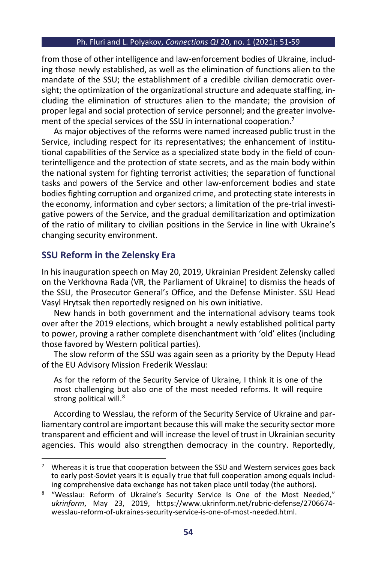#### Ph. Fluri and L. Polyakov, *Connections QJ* 20, no. 1 (2021): 51-59

from those of other intelligence and law-enforcement bodies of Ukraine, including those newly established, as well as the elimination of functions alien to the mandate of the SSU; the establishment of a credible civilian democratic oversight; the optimization of the organizational structure and adequate staffing, including the elimination of structures alien to the mandate; the provision of proper legal and social protection of service personnel; and the greater involvement of the special services of the SSU in international cooperation.<sup>7</sup>

As major objectives of the reforms were named increased public trust in the Service, including respect for its representatives; the enhancement of institutional capabilities of the Service as a specialized state body in the field of counterintelligence and the protection of state secrets, and as the main body within the national system for fighting terrorist activities; the separation of functional tasks and powers of the Service and other law-enforcement bodies and state bodies fighting corruption and organized crime, and protecting state interests in the economy, information and cyber sectors; a limitation of the pre-trial investigative powers of the Service, and the gradual demilitarization and optimization of the ratio of military to civilian positions in the Service in line with Ukraine's changing security environment.

### **SSU Reform in the Zelensky Era**

In his inauguration speech on May 20, 2019, Ukrainian President Zelensky called on the Verkhovna Rada (VR, the Parliament of Ukraine) to dismiss the heads of the SSU, the Prosecutor General's Office, and the Defense Minister. SSU Head Vasyl Hrytsak then reportedly resigned on his own initiative.

New hands in both government and the international advisory teams took over after the 2019 elections, which brought a newly established political party to power, proving a rather complete disenchantment with 'old' elites (including those favored by Western political parties).

The slow reform of the SSU was again seen as a priority by the Deputy Head of the EU Advisory Mission Frederik Wesslau:

As for the reform of the Security Service of Ukraine, I think it is one of the most challenging but also one of the most needed reforms. It will require strong political will.<sup>8</sup>

According to Wesslau, the reform of the Security Service of Ukraine and parliamentary control are important because this will make the security sector more transparent and efficient and will increase the level of trust in Ukrainian security agencies. This would also strengthen democracy in the country. Reportedly,

 $7$  Whereas it is true that cooperation between the SSU and Western services goes back to early post-Soviet years it is equally true that full cooperation among equals including comprehensive data exchange has not taken place until today (the authors).

<sup>&</sup>lt;sup>8</sup> "Wesslau: Reform of Ukraine's Security Service Is One of the Most Needed," *ukrinform*, May 23, 2019, https://www.ukrinform.net/rubric-defense/2706674 wesslau-reform-of-ukraines-security-service-is-one-of-most-needed.html.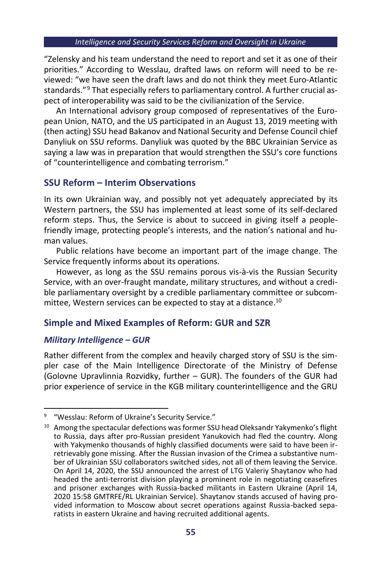"Zelensky and his team understand the need to report and set it as one of their priorities." According to Wesslau, drafted laws on reform will need to be reviewed: "we have seen the draft laws and do not think they meet Euro-Atlantic standards." <sup>9</sup> That especially refers to parliamentary control. A further crucial aspect of interoperability was said to be the civilianization of the Service.

An International advisory group composed of representatives of the European Union, NATO, and the US participated in an August 13, 2019 meeting with (then acting) SSU head Bakanov and National Security and Defense Council chief Danyliuk on SSU reforms. Danyliuk was quoted by the BBC Ukrainian Service as saying a law was in preparation that would strengthen the SSU's core functions of "counterintelligence and combating terrorism."

### **SSU Reform – Interim Observations**

In its own Ukrainian way, and possibly not yet adequately appreciated by its Western partners, the SSU has implemented at least some of its self-declared reform steps. Thus, the Service is about to succeed in giving itself a peoplefriendly image, protecting people's interests, and the nation's national and human values.

Public relations have become an important part of the image change. The Service frequently informs about its operations.

However, as long as the SSU remains porous vis-à-vis the Russian Security Service, with an over-fraught mandate, military structures, and without a credible parliamentary oversight by a credible parliamentary committee or subcommittee, Western services can be expected to stay at a distance. 10

### **Simple and Mixed Examples of Reform: GUR and SZR**

### *Military Intelligence – GUR*

Rather different from the complex and heavily charged story of SSU is the simpler case of the Main Intelligence Directorate of the Ministry of Defense (Golovne Upravlinnia Rozvidky, further – GUR). The founders of the GUR had prior experience of service in the KGB military counterintelligence and the GRU

<sup>9</sup> "Wesslau: Reform of Ukraine's Security Service."

<sup>&</sup>lt;sup>10</sup> Among the spectacular defections was former SSU head Oleksandr Yakymenko's flight to Russia, days after pro-Russian president Yanukovich had fled the country. Along with Yakymenko thousands of highly classified documents were said to have been irretrievably gone missing. After the Russian invasion of the Crimea a substantive number of Ukrainian SSU collaborators switched sides, not all of them leaving the Service. On April 14, 2020, the SSU announced the arrest of LTG Valeriy Shaytanov who had headed the anti-terrorist division playing a prominent role in negotiating ceasefires and prisoner exchanges with Russia-backed militants in Eastern Ukraine (April 14, 2020 15:58 GMTRFE/RL Ukrainian Service). Shaytanov stands accused of having provided information to Moscow about secret operations against Russia-backed separatists in eastern Ukraine and having recruited additional agents.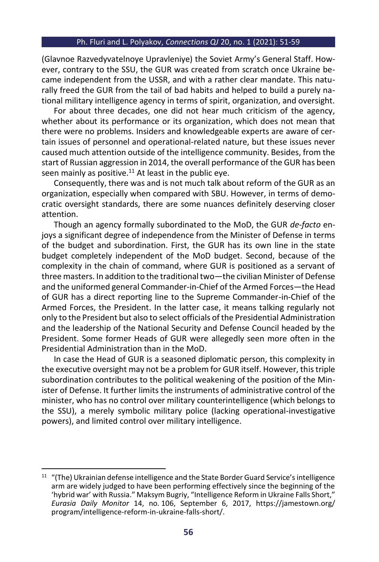#### Ph. Fluri and L. Polyakov, *Connections QJ* 20, no. 1 (2021): 51-59

(Glavnoe Razvedyvatelnoye Upravleniye) the Soviet Army's General Staff. However, contrary to the SSU, the GUR was created from scratch once Ukraine became independent from the USSR, and with a rather clear mandate. This naturally freed the GUR from the tail of bad habits and helped to build a purely national military intelligence agency in terms of spirit, organization, and oversight.

For about three decades, one did not hear much criticism of the agency, whether about its performance or its organization, which does not mean that there were no problems. Insiders and knowledgeable experts are aware of certain issues of personnel and operational-related nature, but these issues never caused much attention outside of the intelligence community. Besides, from the start of Russian aggression in 2014, the overall performance of the GUR has been seen mainly as positive. $11$  At least in the public eye.

Consequently, there was and is not much talk about reform of the GUR as an organization, especially when compared with SBU. However, in terms of democratic oversight standards, there are some nuances definitely deserving closer attention.

Though an agency formally subordinated to the MoD, the GUR *de-facto* enjoys a significant degree of independence from the Minister of Defense in terms of the budget and subordination. First, the GUR has its own line in the state budget completely independent of the MoD budget. Second, because of the complexity in the chain of command, where GUR is positioned as a servant of three masters. In addition to the traditional two—the civilian Minister of Defense and the uniformed general Commander-in-Chief of the Armed Forces—the Head of GUR has a direct reporting line to the Supreme Commander-in-Chief of the Armed Forces, the President. In the latter case, it means talking regularly not only to the President but also to select officials of the Presidential Administration and the leadership of the National Security and Defense Council headed by the President. Some former Heads of GUR were allegedly seen more often in the Presidential Administration than in the MoD.

In case the Head of GUR is a seasoned diplomatic person, this complexity in the executive oversight may not be a problem for GUR itself. However, this triple subordination contributes to the political weakening of the position of the Minister of Defense. It further limits the instruments of administrative control of the minister, who has no control over military counterintelligence (which belongs to the SSU), a merely symbolic military police (lacking operational-investigative powers), and limited control over military intelligence.

<sup>&</sup>lt;sup>11</sup> "(The) Ukrainian defense intelligence and the State Border Guard Service's intelligence arm are widely judged to have been performing effectively since the beginning of the 'hybrid war' with Russia." Maksym Bugriy, "Intelligence Reform in Ukraine Falls Short," *Eurasia Daily Monitor* 14, no. 106, September 6, 2017, https://jamestown.org/ program/intelligence-reform-in-ukraine-falls-short/.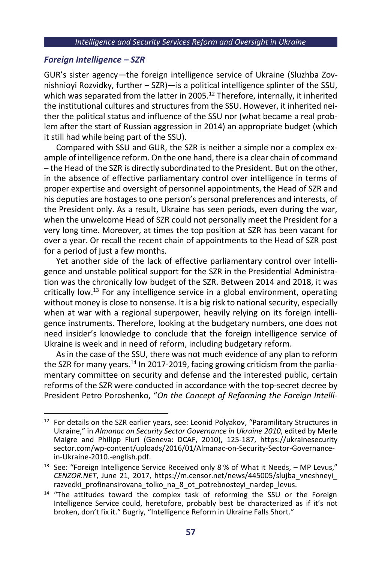### *Foreign Intelligence – SZR*

GUR's sister agency—the foreign intelligence service of Ukraine (Sluzhba Zovnishnioyi Rozvidky, further – SZR)—is a political intelligence splinter of the SSU, which was separated from the latter in 2005.<sup>12</sup> Therefore, internally, it inherited the institutional cultures and structures from the SSU. However, it inherited neither the political status and influence of the SSU nor (what became a real problem after the start of Russian aggression in 2014) an appropriate budget (which it still had while being part of the SSU).

Compared with SSU and GUR, the SZR is neither a simple nor a complex example of intelligence reform. On the one hand, there is a clear chain of command – the Head of the SZR is directly subordinated to the President. But on the other, in the absence of effective parliamentary control over intelligence in terms of proper expertise and oversight of personnel appointments, the Head of SZR and his deputies are hostages to one person's personal preferences and interests, of the President only. As a result, Ukraine has seen periods, even during the war, when the unwelcome Head of SZR could not personally meet the President for a very long time. Moreover, at times the top position at SZR has been vacant for over a year. Or recall the recent chain of appointments to the Head of SZR post for a period of just a few months.

Yet another side of the lack of effective parliamentary control over intelligence and unstable political support for the SZR in the Presidential Administration was the chronically low budget of the SZR. Between 2014 and 2018, it was critically low.<sup>13</sup> For any intelligence service in a global environment, operating without money is close to nonsense. It is a big risk to national security, especially when at war with a regional superpower, heavily relying on its foreign intelligence instruments. Therefore, looking at the budgetary numbers, one does not need insider's knowledge to conclude that the foreign intelligence service of Ukraine is week and in need of reform, including budgetary reform.

As in the case of the SSU, there was not much evidence of any plan to reform the SZR for many years.<sup>14</sup> In 2017-2019, facing growing criticism from the parliamentary committee on security and defense and the interested public, certain reforms of the SZR were conducted in accordance with the top-secret decree by President Petro Poroshenko, "*On the Concept of Reforming the Foreign Intelli-*

<sup>&</sup>lt;sup>12</sup> For details on the SZR earlier years, see: Leonid Polyakov, "Paramilitary Structures in Ukraine," in *Almanac on Security Sector Governance in Ukraine 2010*, edited by Merle Maigre and Philipp Fluri (Geneva: DCAF, 2010), 125-187, [https://ukrainesecurity](https://ukrainesecuritysector.com/wp-content/uploads/2016/01/Almanac-on-Security-Sector-Governance-in-Ukraine-2010.-english.pdf) [sector.com/wp-content/uploads/2016/01/Almanac-on-Security-Sector-Governance](https://ukrainesecuritysector.com/wp-content/uploads/2016/01/Almanac-on-Security-Sector-Governance-in-Ukraine-2010.-english.pdf)[in-Ukraine-2010.-english.pdf.](https://ukrainesecuritysector.com/wp-content/uploads/2016/01/Almanac-on-Security-Sector-Governance-in-Ukraine-2010.-english.pdf)

<sup>&</sup>lt;sup>13</sup> See: "Foreign Intelligence Service Received only 8 % of What it Needs,  $-$  MP Levus," *CENZOR.NET*, June 21, 2017, [https://m.censor.net/news/445005/slujba\\_vneshneyi\\_](https://m.censor.net/news/445005/slujba_vneshneyi_razvedki_profinansirovana_tolko_na_8_ot_potrebnosteyi_nardep_levus) [razvedki\\_profinansirovana\\_tolko\\_na\\_8\\_ot\\_potrebnosteyi\\_nardep\\_levus.](https://m.censor.net/news/445005/slujba_vneshneyi_razvedki_profinansirovana_tolko_na_8_ot_potrebnosteyi_nardep_levus)

<sup>&</sup>lt;sup>14</sup> "The attitudes toward the complex task of reforming the SSU or the Foreign Intelligence Service could, heretofore, probably best be characterized as if it's not broken, don't fix it." Bugriy, "Intelligence Reform in Ukraine Falls Short."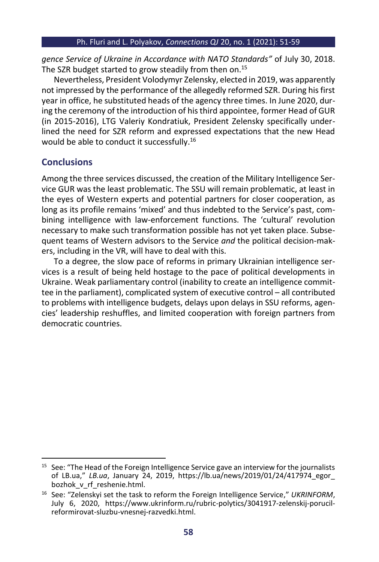*gence Service of Ukraine in Accordance with NATO Standards"* of July 30, 2018. The SZR budget started to grow steadily from then on.<sup>15</sup>

Nevertheless, President Volodymyr Zelensky, elected in 2019, was apparently not impressed by the performance of the allegedly reformed SZR. During his first year in office, he substituted heads of the agency three times. In June 2020, during the ceremony of the introduction of his third appointee, former Head of GUR (in 2015-2016), LTG Valeriy Kondratiuk, President Zelensky specifically underlined the need for SZR reform and expressed expectations that the new Head would be able to conduct it successfully. 16

# **Conclusions**

Among the three services discussed, the creation of the Military Intelligence Service GUR was the least problematic. The SSU will remain problematic, at least in the eyes of Western experts and potential partners for closer cooperation, as long as its profile remains 'mixed' and thus indebted to the Service's past, combining intelligence with law-enforcement functions. The 'cultural' revolution necessary to make such transformation possible has not yet taken place. Subsequent teams of Western advisors to the Service *and* the political decision-makers, including in the VR, will have to deal with this.

To a degree, the slow pace of reforms in primary Ukrainian intelligence services is a result of being held hostage to the pace of political developments in Ukraine. Weak parliamentary control (inability to create an intelligence committee in the parliament), complicated system of executive control – all contributed to problems with intelligence budgets, delays upon delays in SSU reforms, agencies' leadership reshuffles, and limited cooperation with foreign partners from democratic countries.

<sup>&</sup>lt;sup>15</sup> See: "The Head of the Foreign Intelligence Service gave an interview for the journalists of LB.ua," *LB.ua*, January 24, 2019, [https://lb.ua/news/2019/01/24/417974\\_egor\\_](https://lb.ua/news/2019/01/24/417974_egor_bozhok_v_rf_reshenie.html) bozhok v rf reshenie.html.

<sup>16</sup> See: "Zelenskyi set the task to reform the Foreign Intelligence Service," *UKRINFORM*, July 6, 2020, [https://www.ukrinform.ru/rubric-polytics/3041917-zelenskij-porucil](https://www.ukrinform.ru/rubric-polytics/3041917-zelenskij-porucil-reformirovat-sluzbu-vnesnej-razvedki.html)[reformirovat-sluzbu-vnesnej-razvedki.html.](https://www.ukrinform.ru/rubric-polytics/3041917-zelenskij-porucil-reformirovat-sluzbu-vnesnej-razvedki.html)